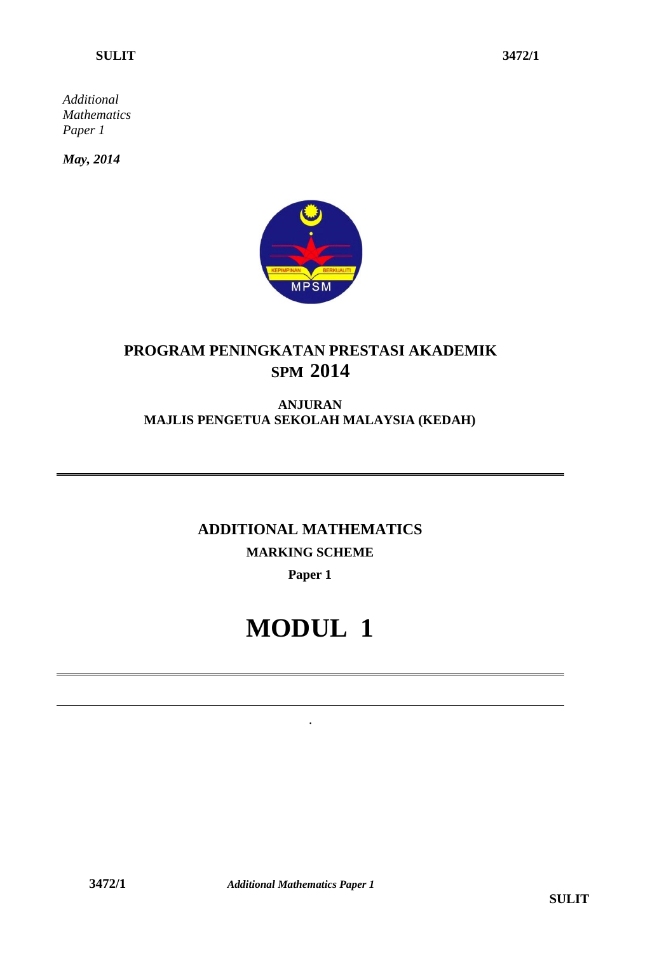*Additional Mathematics Paper 1*

*May, 2014*



### **PROGRAM PENINGKATAN PRESTASI AKADEMIK SPM 2014**

#### **ANJURAN MAJLIS PENGETUA SEKOLAH MALAYSIA (KEDAH)**

## **ADDITIONAL MATHEMATICS MARKING SCHEME**

#### **Paper 1**

# **MODUL 1**

.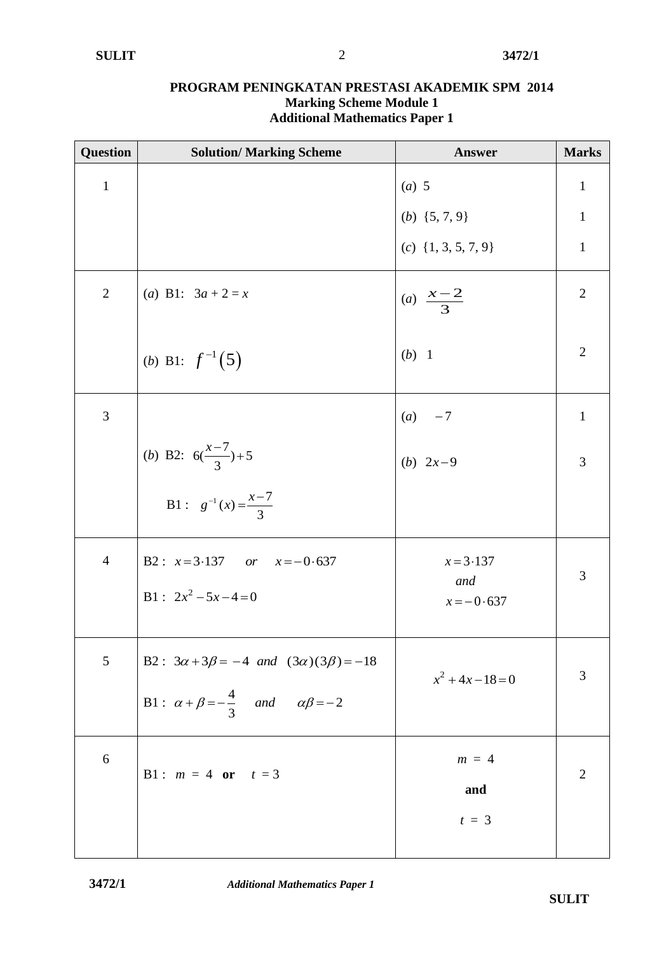| Question       | <b>Solution/ Marking Scheme</b>                            | <b>Answer</b>                                | <b>Marks</b>   |
|----------------|------------------------------------------------------------|----------------------------------------------|----------------|
| $\mathbf{1}$   |                                                            | $(a)$ 5                                      | $\mathbf{1}$   |
|                |                                                            | (b) $\{5, 7, 9\}$<br>(c) $\{1, 3, 5, 7, 9\}$ | $\mathbf{1}$   |
|                |                                                            |                                              | $\mathbf{1}$   |
| $\mathbf{2}$   | (a) B1: $3a + 2 = x$                                       | (a) $\frac{x-2}{3}$                          | $\overline{2}$ |
|                | ( <i>b</i> ) B1: $f^{-1}(5)$                               | $(b)$ 1                                      | $\overline{2}$ |
| 3              |                                                            | $(a) -7$                                     | $\mathbf{1}$   |
|                | ( <i>b</i> ) B2: $6(\frac{x-7}{3})+5$                      | ( <i>b</i> ) $2x-9$                          | 3              |
|                | B1 : $g^{-1}(x) = \frac{x-7}{3}$                           |                                              |                |
| $\overline{4}$ | B2: $x=3.137$ or $x=-0.637$                                | $x = 3.137$<br>and                           | 3              |
|                | $B1: 2x^2 - 5x - 4 = 0$                                    | $x = -0.637$                                 |                |
| 5              | B2: $3\alpha + 3\beta = -4$ and $(3\alpha)(3\beta) = -18$  | $x^2 + 4x - 18 = 0$                          | $\mathfrak{Z}$ |
|                | B1: $\alpha + \beta = -\frac{4}{3}$ and $\alpha\beta = -2$ |                                              |                |
| 6              | B1: $m = 4$ or $t = 3$                                     | $m = 4$                                      | $\mathbf{2}$   |
|                |                                                            | and                                          |                |
|                |                                                            | $t = 3$                                      |                |
|                |                                                            |                                              |                |

#### **PROGRAM PENINGKATAN PRESTASI AKADEMIK SPM 2014 Marking Scheme Module 1 Additional Mathematics Paper 1**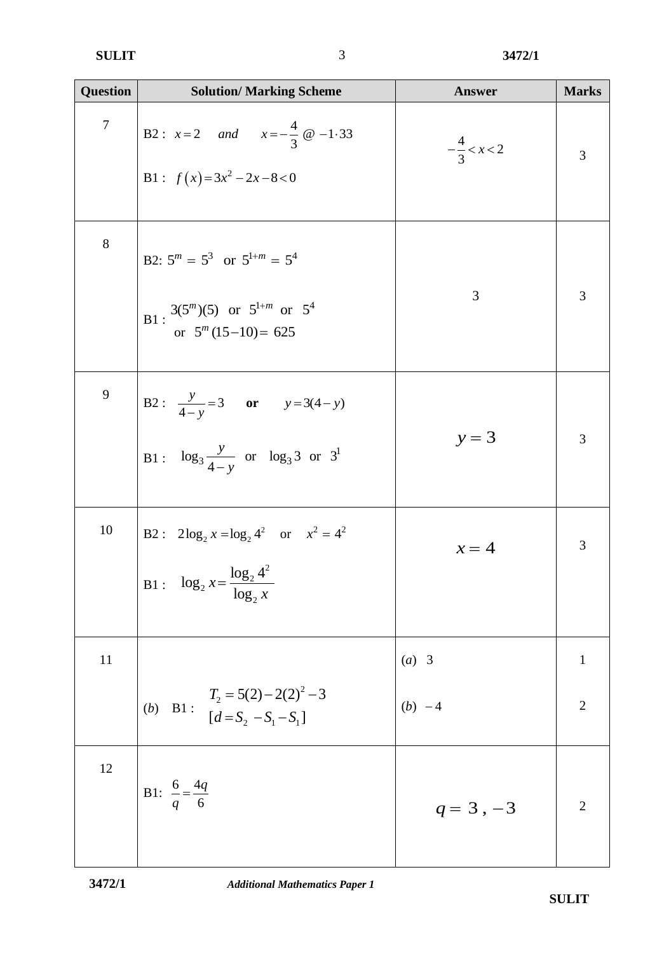| <b>Question</b> | <b>Solution/ Marking Scheme</b>                                                                                 | <b>Answer</b>          | <b>Marks</b>   |
|-----------------|-----------------------------------------------------------------------------------------------------------------|------------------------|----------------|
| $\overline{7}$  | B2: $x=2$ and $x=-\frac{4}{3}$ @ -1.33<br>B1 : $f(x)=3x^2-2x-8<0$                                               | $-\frac{4}{3} < x < 2$ | 3              |
| 8               | B2: $5^m = 5^3$ or $5^{1+m} = 5^4$<br>B1 : $\frac{3(5^m)(5)}{8}$ or $5^{1+m}$ or $5^4$<br>or $5^m(15-10) = 625$ | 3                      | 3              |
| 9               | B2: $\frac{y}{4-y} = 3$ or $y = 3(4-y)$<br>B1: $\log_3 \frac{y}{4-y}$ or $\log_3 3$ or $3^1$                    | $y = 3$                | 3              |
| 10              | B2: $2\log_2 x = \log_2 4^2$ or $x^2 = 4^2$<br>B1 : $\log_2 x = \frac{\log_2 4^2}{\log_2 x}$                    | $x=4$                  | 3              |
| 11              |                                                                                                                 | $(a)$ 3                | $\mathbf{1}$   |
|                 | B1 : $T_2 = 5(2) - 2(2)^2 - 3$<br>$[d = S_2 - S_1 - S_1]$<br>(b)                                                | $(b) -4$               | $\overline{2}$ |
| 12              | B1: $\frac{6}{q} = \frac{4q}{6}$                                                                                | $q = 3, -3$            | $\overline{2}$ |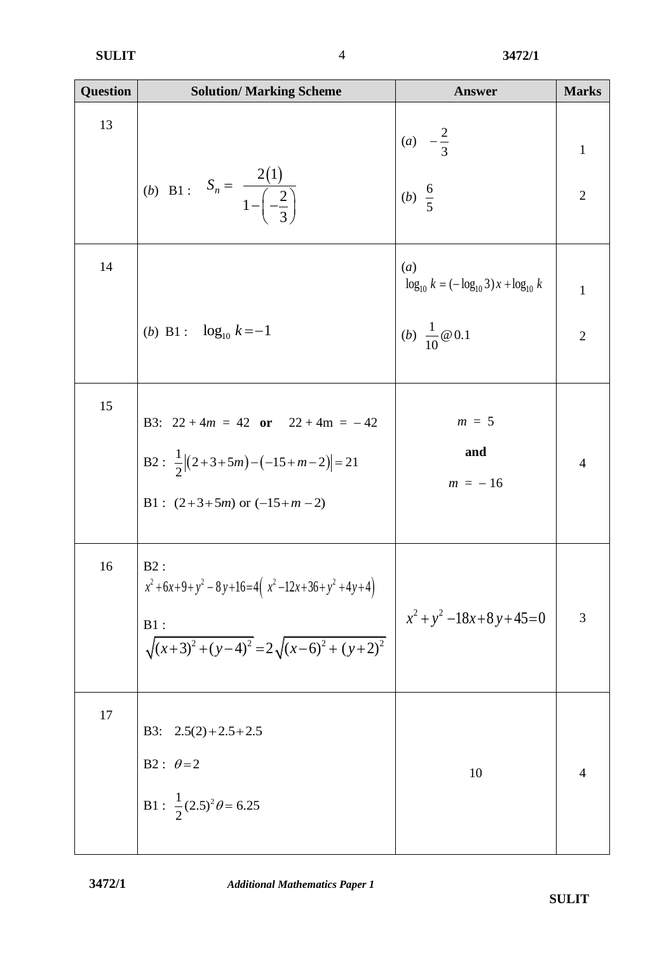| <b>Question</b> | <b>Solution/ Marking Scheme</b>                                         | <b>Answer</b>                                                     | <b>Marks</b>   |
|-----------------|-------------------------------------------------------------------------|-------------------------------------------------------------------|----------------|
| 13              |                                                                         | (a) $-\frac{2}{3}$<br>(b) $\frac{6}{5}$                           | $\mathbf{1}$   |
|                 | (b) B1 : $S_n = \frac{2(1)}{1 - \left(-\frac{2}{3}\right)}$             |                                                                   | $\overline{2}$ |
| 14              |                                                                         | $\left(a\right)$<br>$\log_{10} k = (-\log_{10} 3)x + \log_{10} k$ | $\mathbf{1}$   |
|                 | ( <i>b</i> ) B1 : $\log_{10} k = -1$                                    | ( <i>b</i> ) $\frac{1}{10} @ 0.1$                                 | $\overline{2}$ |
| 15              | B3: $22 + 4m = 42$ or $22 + 4m = -42$                                   | $m = 5$                                                           |                |
|                 | B2 : $\frac{1}{2}  (2+3+5m)-(-15+m-2) =21$                              | and<br>$m = -16$                                                  | $\overline{4}$ |
|                 | B1 : $(2+3+5m)$ or $(-15+m-2)$                                          |                                                                   |                |
| 16              | $B2$ :<br>$x^2+6x+9+y^2-8y+16=4(x^2-12x+36+y^2+4y+4)$                   | $x^2 + y^2 - 18x + 8y + 45 = 0$                                   | 3              |
|                 | $B1$ :<br>B1:<br>$\sqrt{(x+3)^2 + (y-4)^2} = 2\sqrt{(x-6)^2 + (y+2)^2}$ |                                                                   |                |
| 17              | B3: $2.5(2)+2.5+2.5$                                                    |                                                                   |                |
|                 | B2: $\theta = 2$<br>B1: $\frac{1}{2} (2.5)^2 \theta = 6.25$             | 10                                                                | 4              |
|                 |                                                                         |                                                                   |                |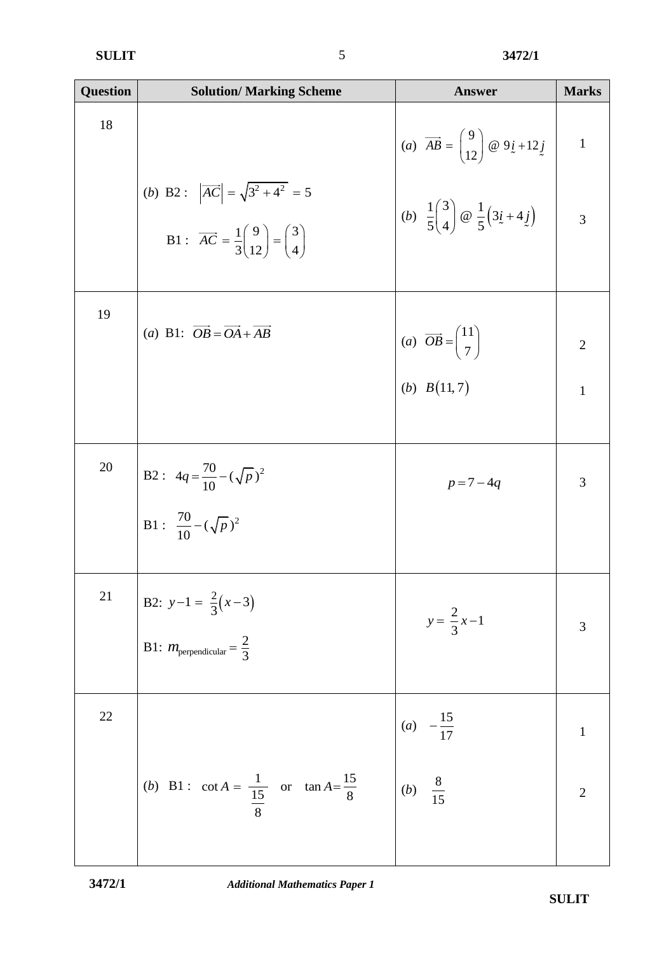| <b>Question</b> | <b>Solution/ Marking Scheme</b>                                                                                                  | <b>Answer</b>                                                                                                                                                                                  | <b>Marks</b>                       |
|-----------------|----------------------------------------------------------------------------------------------------------------------------------|------------------------------------------------------------------------------------------------------------------------------------------------------------------------------------------------|------------------------------------|
| 18              |                                                                                                                                  |                                                                                                                                                                                                | $\mathbf{1}$                       |
|                 | (b) B2: $ \overrightarrow{AC}  = \sqrt{3^2 + 4^2} = 5$<br>B1: $\overrightarrow{AC} = \frac{1}{3} {9 \choose 12} = {3 \choose 4}$ | (a) $\overrightarrow{AB} = \begin{pmatrix} 9 \\ 12 \end{pmatrix}$ @ $9i + 12j$<br>(b) $\frac{1}{5} \begin{pmatrix} 3 \\ 4 \end{pmatrix}$ @ $\frac{1}{5} \begin{pmatrix} 3i + 4j \end{pmatrix}$ | $\overline{\mathbf{3}}$            |
| 19              | (a) B1: $\overrightarrow{OB} = \overrightarrow{OA} + \overrightarrow{AB}$                                                        | (a) $\overrightarrow{OB} = \begin{pmatrix} 11 \\ 7 \end{pmatrix}$<br>(b) $B(11,7)$                                                                                                             | $\overline{2}$                     |
|                 |                                                                                                                                  |                                                                                                                                                                                                | $\mathbf{1}$                       |
| 20              | B2: $4q = \frac{70}{10} - (\sqrt{p})^2$<br>B1: $\frac{70}{10} - (\sqrt{p})^2$                                                    | $p = 7 - 4q$                                                                                                                                                                                   | 3                                  |
|                 |                                                                                                                                  |                                                                                                                                                                                                |                                    |
| 21              | B2: $y-1 = \frac{2}{3}(x-3)$<br>B1: $m_{\text{perpendicular}} = \frac{2}{3}$                                                     | $y = \frac{2}{3}x - 1$                                                                                                                                                                         | $\mathfrak{Z}$                     |
|                 |                                                                                                                                  |                                                                                                                                                                                                |                                    |
| 22              |                                                                                                                                  |                                                                                                                                                                                                |                                    |
|                 | (b) B1 : $\cot A = \frac{1}{\frac{15}{8}}$ or $\tan A = \frac{15}{8}$ (b) $\frac{8}{15}$                                         |                                                                                                                                                                                                | $\begin{array}{c}\n2\n\end{array}$ |